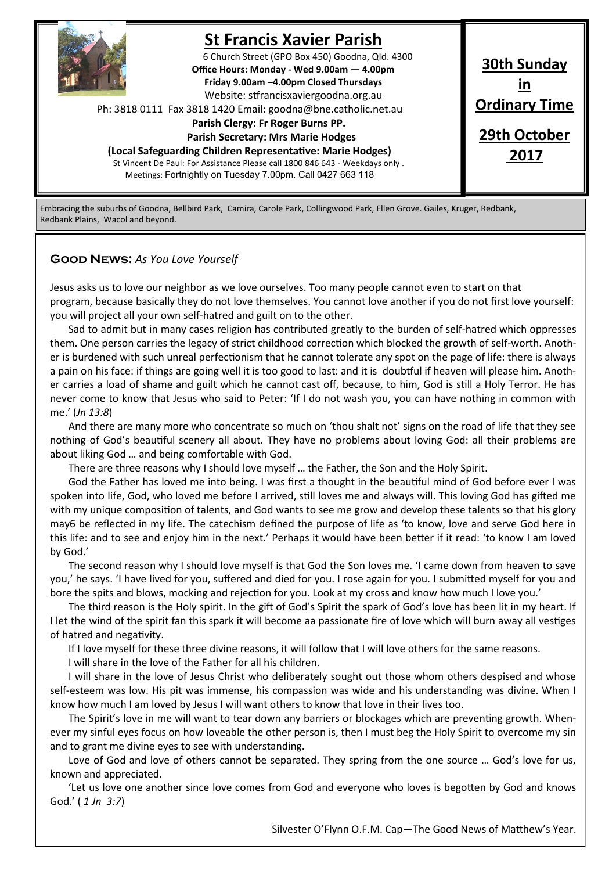

# **St Francis Xavier Parish**

6 Church Street (GPO Box 450) Goodna, Qld. 4300 **Office Hours: Monday - Wed 9.00am — 4.00pm Friday 9.00am –4.00pm Closed Thursdays**  Website: stfrancisxaviergoodna.org.au

Ph: 3818 0111 Fax 3818 1420 Email: goodna@bne.catholic.net.au

#### **Parish Clergy: Fr Roger Burns PP.**

 **Parish Secretary: Mrs Marie Hodges**

**(Local Safeguarding Children Representative: Marie Hodges)** St Vincent De Paul: For Assistance Please call 1800 846 643 - Weekdays only . Meetings: Fortnightly on Tuesday 7.00pm. Call 0427 663 118

**30th Sunday in Ordinary Time 29th October 2017**

Embracing the suburbs of Goodna, Bellbird Park, Camira, Carole Park, Collingwood Park, Ellen Grove. Gailes, Kruger, Redbank, Redbank Plains, Wacol and beyond.

#### **Good News:** *As You Love Yourself*

Jesus asks us to love our neighbor as we love ourselves. Too many people cannot even to start on that program, because basically they do not love themselves. You cannot love another if you do not first love yourself: you will project all your own self-hatred and guilt on to the other.

Sad to admit but in many cases religion has contributed greatly to the burden of self-hatred which oppresses them. One person carries the legacy of strict childhood correction which blocked the growth of self-worth. Another is burdened with such unreal perfectionism that he cannot tolerate any spot on the page of life: there is always a pain on his face: if things are going well it is too good to last: and it is doubtful if heaven will please him. Another carries a load of shame and guilt which he cannot cast off, because, to him, God is still a Holy Terror. He has never come to know that Jesus who said to Peter: 'If I do not wash you, you can have nothing in common with me.' (*Jn 13:8*)

And there are many more who concentrate so much on 'thou shalt not' signs on the road of life that they see nothing of God's beautiful scenery all about. They have no problems about loving God: all their problems are about liking God … and being comfortable with God.

There are three reasons why I should love myself … the Father, the Son and the Holy Spirit.

God the Father has loved me into being. I was first a thought in the beautiful mind of God before ever I was spoken into life, God, who loved me before I arrived, still loves me and always will. This loving God has gifted me with my unique composition of talents, and God wants to see me grow and develop these talents so that his glory may6 be reflected in my life. The catechism defined the purpose of life as 'to know, love and serve God here in this life: and to see and enjoy him in the next.' Perhaps it would have been better if it read: 'to know I am loved by God.'

The second reason why I should love myself is that God the Son loves me. 'I came down from heaven to save you,' he says. 'I have lived for you, suffered and died for you. I rose again for you. I submitted myself for you and bore the spits and blows, mocking and rejection for you. Look at my cross and know how much I love you.'

The third reason is the Holy spirit. In the gift of God's Spirit the spark of God's love has been lit in my heart. If I let the wind of the spirit fan this spark it will become aa passionate fire of love which will burn away all vestiges of hatred and negativity.

If I love myself for these three divine reasons, it will follow that I will love others for the same reasons.

I will share in the love of the Father for all his children.

I will share in the love of Jesus Christ who deliberately sought out those whom others despised and whose self-esteem was low. His pit was immense, his compassion was wide and his understanding was divine. When I know how much I am loved by Jesus I will want others to know that love in their lives too.

The Spirit's love in me will want to tear down any barriers or blockages which are preventing growth. Whenever my sinful eyes focus on how loveable the other person is, then I must beg the Holy Spirit to overcome my sin and to grant me divine eyes to see with understanding.

Love of God and love of others cannot be separated. They spring from the one source … God's love for us, known and appreciated.

'Let us love one another since love comes from God and everyone who loves is begotten by God and knows God.' ( *1 Jn 3:7*)

Silvester O'Flynn O.F.M. Cap—The Good News of Matthew's Year.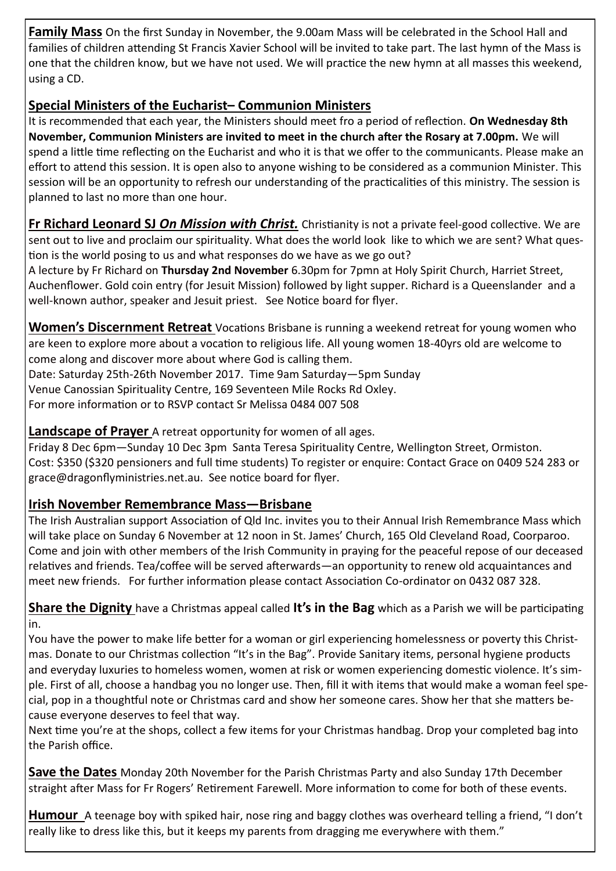**Family Mass** On the first Sunday in November, the 9.00am Mass will be celebrated in the School Hall and families of children attending St Francis Xavier School will be invited to take part. The last hymn of the Mass is one that the children know, but we have not used. We will practice the new hymn at all masses this weekend, using a CD.

## **Special Ministers of the Eucharist– Communion Ministers**

It is recommended that each year, the Ministers should meet fro a period of reflection. **On Wednesday 8th November, Communion Ministers are invited to meet in the church after the Rosary at 7.00pm.** We will spend a little time reflecting on the Eucharist and who it is that we offer to the communicants. Please make an effort to attend this session. It is open also to anyone wishing to be considered as a communion Minister. This session will be an opportunity to refresh our understanding of the practicalities of this ministry. The session is planned to last no more than one hour.

**Fr Richard Leonard SJ** *On Mission with Christ.* Christianity is not a private feel-good collective. We are sent out to live and proclaim our spirituality. What does the world look like to which we are sent? What question is the world posing to us and what responses do we have as we go out?

A lecture by Fr Richard on **Thursday 2nd November** 6.30pm for 7pmn at Holy Spirit Church, Harriet Street, Auchenflower. Gold coin entry (for Jesuit Mission) followed by light supper. Richard is a Queenslander and a well-known author, speaker and Jesuit priest. See Notice board for flyer.

**Women's Discernment Retreat** Vocations Brisbane is running a weekend retreat for young women who are keen to explore more about a vocation to religious life. All young women 18-40yrs old are welcome to come along and discover more about where God is calling them.

Date: Saturday 25th-26th November 2017. Time 9am Saturday—5pm Sunday

Venue Canossian Spirituality Centre, 169 Seventeen Mile Rocks Rd Oxley.

For more information or to RSVP contact Sr Melissa 0484 007 508

**Landscape of Prayer** A retreat opportunity for women of all ages.

Friday 8 Dec 6pm—Sunday 10 Dec 3pm Santa Teresa Spirituality Centre, Wellington Street, Ormiston. Cost: \$350 (\$320 pensioners and full time students) To register or enquire: Contact Grace on 0409 524 283 or grace@dragonflyministries.net.au. See notice board for flyer.

## **Irish November Remembrance Mass—Brisbane**

The Irish Australian support Association of Qld Inc. invites you to their Annual Irish Remembrance Mass which will take place on Sunday 6 November at 12 noon in St. James' Church, 165 Old Cleveland Road, Coorparoo. Come and join with other members of the Irish Community in praying for the peaceful repose of our deceased relatives and friends. Tea/coffee will be served afterwards—an opportunity to renew old acquaintances and meet new friends. For further information please contact Association Co-ordinator on 0432 087 328.

**Share the Dignity** have a Christmas appeal called **It's in the Bag** which as a Parish we will be participating in.

You have the power to make life better for a woman or girl experiencing homelessness or poverty this Christmas. Donate to our Christmas collection "It's in the Bag". Provide Sanitary items, personal hygiene products and everyday luxuries to homeless women, women at risk or women experiencing domestic violence. It's simple. First of all, choose a handbag you no longer use. Then, fill it with items that would make a woman feel special, pop in a thoughtful note or Christmas card and show her someone cares. Show her that she matters because everyone deserves to feel that way.

Next time you're at the shops, collect a few items for your Christmas handbag. Drop your completed bag into the Parish office.

**Save the Dates** Monday 20th November for the Parish Christmas Party and also Sunday 17th December straight after Mass for Fr Rogers' Retirement Farewell. More information to come for both of these events.

**Humour** A teenage boy with spiked hair, nose ring and baggy clothes was overheard telling a friend, "I don't really like to dress like this, but it keeps my parents from dragging me everywhere with them."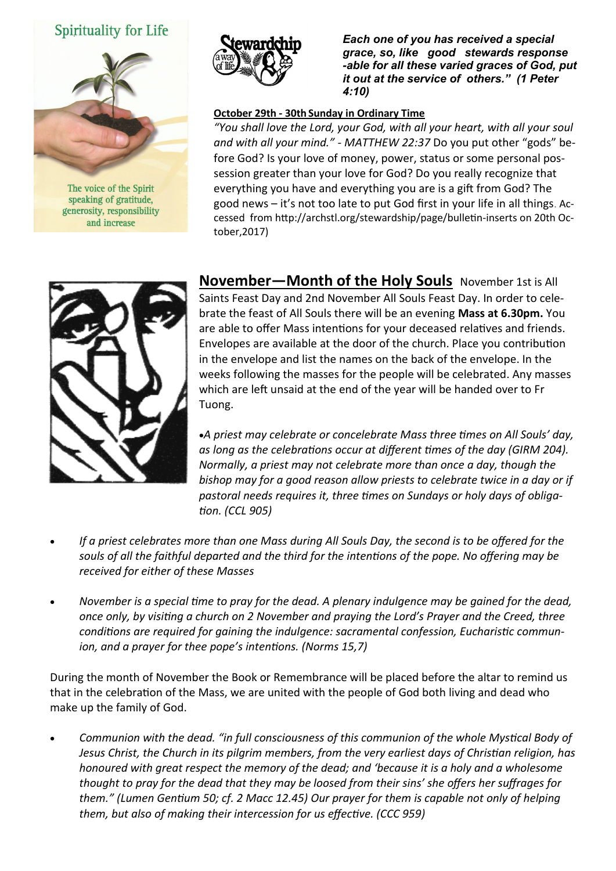## Spirituality for Life



The voice of the Spirit speaking of gratitude, generosity, responsibility and increase



*Each one of you has received a special grace, so, like good stewards response -able for all these varied graces of God, put it out at the service of others." (1 Peter 4:10)* 

#### **October 29th - 30th Sunday in Ordinary Time**

*"You shall love the Lord, your God, with all your heart, with all your soul and with all your mind." - MATTHEW 22:37* Do you put other "gods" before God? Is your love of money, power, status or some personal possession greater than your love for God? Do you really recognize that everything you have and everything you are is a gift from God? The good news – it's not too late to put God first in your life in all things. Accessed from http://archstl.org/stewardship/page/bulletin-inserts on 20th October,2017)



**November—Month of the Holy Souls** November 1st is All Saints Feast Day and 2nd November All Souls Feast Day. In order to celebrate the feast of All Souls there will be an evening **Mass at 6.30pm.** You are able to offer Mass intentions for your deceased relatives and friends. Envelopes are available at the door of the church. Place you contribution in the envelope and list the names on the back of the envelope. In the weeks following the masses for the people will be celebrated. Any masses which are left unsaid at the end of the year will be handed over to Fr Tuong.

*A priest may celebrate or concelebrate Mass three times on All Souls' day, as long as the celebrations occur at different times of the day (GIRM 204). Normally, a priest may not celebrate more than once a day, though the bishop may for a good reason allow priests to celebrate twice in a day or if pastoral needs requires it, three times on Sundays or holy days of obligation. (CCL 905)*

- *If a priest celebrates more than one Mass during All Souls Day, the second is to be offered for the souls of all the faithful departed and the third for the intentions of the pope. No offering may be received for either of these Masses*
- *November is a special time to pray for the dead. A plenary indulgence may be gained for the dead, once only, by visiting a church on 2 November and praying the Lord's Prayer and the Creed, three conditions are required for gaining the indulgence: sacramental confession, Eucharistic communion, and a prayer for thee pope's intentions. (Norms 15,7)*

During the month of November the Book or Remembrance will be placed before the altar to remind us that in the celebration of the Mass, we are united with the people of God both living and dead who make up the family of God.

 *Communion with the dead. "in full consciousness of this communion of the whole Mystical Body of Jesus Christ, the Church in its pilgrim members, from the very earliest days of Christian religion, has honoured with great respect the memory of the dead; and 'because it is a holy and a wholesome thought to pray for the dead that they may be loosed from their sins' she offers her suffrages for them." (Lumen Gentium 50; cf. 2 Macc 12.45) Our prayer for them is capable not only of helping them, but also of making their intercession for us effective. (CCC 959)*